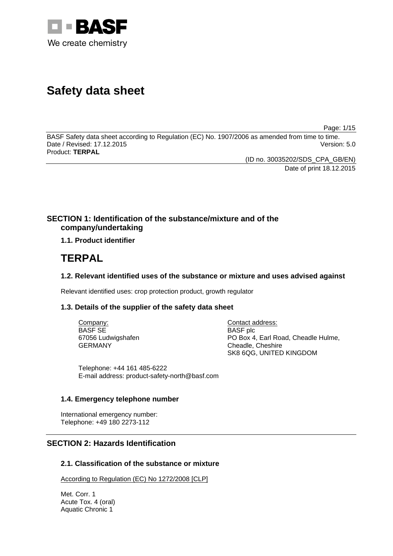

# **Safety data sheet**

Page: 1/15

BASF Safety data sheet according to Regulation (EC) No. 1907/2006 as amended from time to time. Date / Revised: 17.12.2015 Version: 5.0 Product: **TERPAL**

> (ID no. 30035202/SDS\_CPA\_GB/EN) Date of print 18.12.2015

# **SECTION 1: Identification of the substance/mixture and of the company/undertaking**

## **1.1. Product identifier**

# **TERPAL**

## **1.2. Relevant identified uses of the substance or mixture and uses advised against**

Relevant identified uses: crop protection product, growth regulator

## **1.3. Details of the supplier of the safety data sheet**

Company: BASF SE 67056 Ludwigshafen GERMANY

Contact address: BASF plc PO Box 4, Earl Road, Cheadle Hulme, Cheadle, Cheshire SK8 6QG, UNITED KINGDOM

Telephone: +44 161 485-6222 E-mail address: product-safety-north@basf.com

## **1.4. Emergency telephone number**

International emergency number: Telephone: +49 180 2273-112

# **SECTION 2: Hazards Identification**

## **2.1. Classification of the substance or mixture**

According to Regulation (EC) No 1272/2008 [CLP]

Met. Corr. 1 Acute Tox. 4 (oral) Aquatic Chronic 1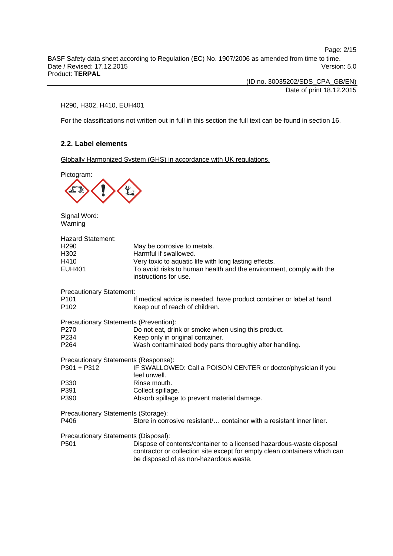Page: 2/15

BASF Safety data sheet according to Regulation (EC) No. 1907/2006 as amended from time to time. Date / Revised: 17.12.2015 Version: 5.0 Product: **TERPAL**

> (ID no. 30035202/SDS\_CPA\_GB/EN) Date of print 18.12.2015

#### H290, H302, H410, EUH401

For the classifications not written out in full in this section the full text can be found in section 16.

## **2.2. Label elements**

Globally Harmonized System (GHS) in accordance with UK regulations.

Pictogram:



Signal Word: Warning

| <b>Hazard Statement:</b><br>H290<br>H302<br>H410<br><b>EUH401</b> | May be corrosive to metals.<br>Harmful if swallowed.<br>Very toxic to aquatic life with long lasting effects.<br>To avoid risks to human health and the environment, comply with the<br>instructions for use. |
|-------------------------------------------------------------------|---------------------------------------------------------------------------------------------------------------------------------------------------------------------------------------------------------------|
| <b>Precautionary Statement:</b>                                   |                                                                                                                                                                                                               |
| P101<br>P102                                                      | If medical advice is needed, have product container or label at hand.<br>Keep out of reach of children.                                                                                                       |
| <b>Precautionary Statements (Prevention):</b>                     |                                                                                                                                                                                                               |
| P270                                                              | Do not eat, drink or smoke when using this product.                                                                                                                                                           |
| P234                                                              | Keep only in original container.                                                                                                                                                                              |
| P <sub>264</sub>                                                  | Wash contaminated body parts thoroughly after handling.                                                                                                                                                       |
| Precautionary Statements (Response):                              |                                                                                                                                                                                                               |
| P301 + P312                                                       | IF SWALLOWED: Call a POISON CENTER or doctor/physician if you<br>feel unwell.                                                                                                                                 |
| P330                                                              | Rinse mouth.                                                                                                                                                                                                  |
| P391                                                              | Collect spillage.                                                                                                                                                                                             |
| P390                                                              | Absorb spillage to prevent material damage.                                                                                                                                                                   |
| Precautionary Statements (Storage):                               |                                                                                                                                                                                                               |
| P406                                                              | Store in corrosive resistant container with a resistant inner liner.                                                                                                                                          |
| Precautionary Statements (Disposal):<br>P501                      | Dispose of contents/container to a licensed hazardous-waste disposal<br>contractor or collection site except for empty clean containers which can<br>be disposed of as non-hazardous waste.                   |
|                                                                   |                                                                                                                                                                                                               |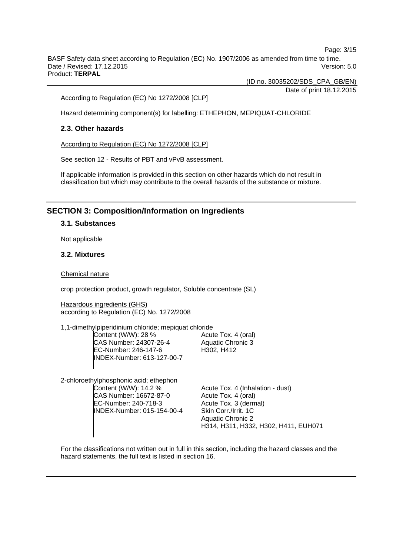Page: 3/15

BASF Safety data sheet according to Regulation (EC) No. 1907/2006 as amended from time to time. Date / Revised: 17.12.2015 Version: 5.0 Product: **TERPAL**

(ID no. 30035202/SDS\_CPA\_GB/EN)

Date of print 18.12.2015

According to Regulation (EC) No 1272/2008 [CLP]

Hazard determining component(s) for labelling: ETHEPHON, MEPIQUAT-CHLORIDE

## **2.3. Other hazards**

According to Regulation (EC) No 1272/2008 [CLP]

See section 12 - Results of PBT and vPvB assessment.

If applicable information is provided in this section on other hazards which do not result in classification but which may contribute to the overall hazards of the substance or mixture.

# **SECTION 3: Composition/Information on Ingredients**

## **3.1. Substances**

Not applicable

## **3.2. Mixtures**

#### Chemical nature

crop protection product, growth regulator, Soluble concentrate (SL)

Hazardous ingredients (GHS) according to Regulation (EC) No. 1272/2008

1,1-dimethylpiperidinium chloride; mepiquat chloride Content (W/W): 28 % CAS Number: 24307-26-4 EC-Number: 246-147-6 INDEX-Number: 613-127-00-7 Acute Tox. 4 (oral) Aquatic Chronic 3 H302, H412

2-chloroethylphosphonic acid; ethephon Content (W/W): 14.2 % CAS Number: 16672-87-0 EC-Number: 240-718-3 INDEX-Number: 015-154-00-4

Acute Tox. 4 (Inhalation - dust) Acute Tox. 4 (oral) Acute Tox. 3 (dermal) Skin Corr./Irrit. 1C Aquatic Chronic 2 H314, H311, H332, H302, H411, EUH071

For the classifications not written out in full in this section, including the hazard classes and the hazard statements, the full text is listed in section 16.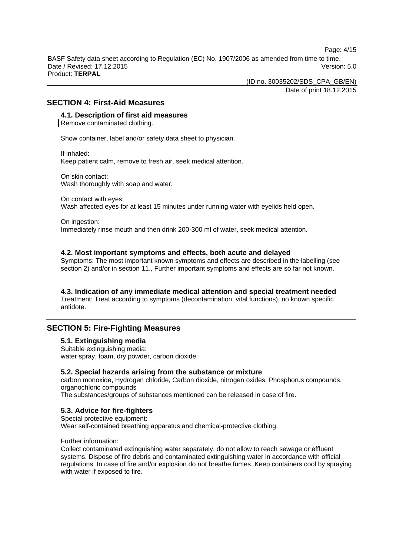Page: 4/15

BASF Safety data sheet according to Regulation (EC) No. 1907/2006 as amended from time to time. Date / Revised: 17.12.2015 Version: 5.0 Product: **TERPAL**

(ID no. 30035202/SDS\_CPA\_GB/EN)

Date of print 18.12.2015

## **SECTION 4: First-Aid Measures**

## **4.1. Description of first aid measures**

Remove contaminated clothing.

Show container, label and/or safety data sheet to physician.

If inhaled: Keep patient calm, remove to fresh air, seek medical attention.

On skin contact: Wash thoroughly with soap and water.

On contact with eyes: Wash affected eyes for at least 15 minutes under running water with eyelids held open.

On ingestion:

Immediately rinse mouth and then drink 200-300 ml of water, seek medical attention.

#### **4.2. Most important symptoms and effects, both acute and delayed**

Symptoms: The most important known symptoms and effects are described in the labelling (see section 2) and/or in section 11., Further important symptoms and effects are so far not known.

#### **4.3. Indication of any immediate medical attention and special treatment needed**

Treatment: Treat according to symptoms (decontamination, vital functions), no known specific antidote.

## **SECTION 5: Fire-Fighting Measures**

#### **5.1. Extinguishing media**

Suitable extinguishing media: water spray, foam, dry powder, carbon dioxide

## **5.2. Special hazards arising from the substance or mixture**

carbon monoxide, Hydrogen chloride, Carbon dioxide, nitrogen oxides, Phosphorus compounds, organochloric compounds

The substances/groups of substances mentioned can be released in case of fire.

#### **5.3. Advice for fire-fighters**

Special protective equipment: Wear self-contained breathing apparatus and chemical-protective clothing.

#### Further information:

Collect contaminated extinguishing water separately, do not allow to reach sewage or effluent systems. Dispose of fire debris and contaminated extinguishing water in accordance with official regulations. In case of fire and/or explosion do not breathe fumes. Keep containers cool by spraying with water if exposed to fire.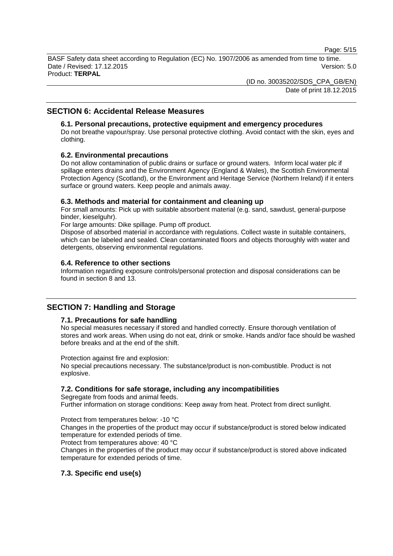Page: 5/15

BASF Safety data sheet according to Regulation (EC) No. 1907/2006 as amended from time to time. Date / Revised: 17.12.2015 Version: 5.0 Product: **TERPAL**

(ID no. 30035202/SDS\_CPA\_GB/EN)

Date of print 18.12.2015

## **SECTION 6: Accidental Release Measures**

## **6.1. Personal precautions, protective equipment and emergency procedures**

Do not breathe vapour/spray. Use personal protective clothing. Avoid contact with the skin, eyes and clothing.

## **6.2. Environmental precautions**

Do not allow contamination of public drains or surface or ground waters. Inform local water plc if spillage enters drains and the Environment Agency (England & Wales), the Scottish Environmental Protection Agency (Scotland), or the Environment and Heritage Service (Northern Ireland) if it enters surface or ground waters. Keep people and animals away.

## **6.3. Methods and material for containment and cleaning up**

For small amounts: Pick up with suitable absorbent material (e.g. sand, sawdust, general-purpose binder, kieselguhr).

For large amounts: Dike spillage. Pump off product.

Dispose of absorbed material in accordance with regulations. Collect waste in suitable containers, which can be labeled and sealed. Clean contaminated floors and objects thoroughly with water and detergents, observing environmental regulations.

## **6.4. Reference to other sections**

Information regarding exposure controls/personal protection and disposal considerations can be found in section 8 and 13.

## **SECTION 7: Handling and Storage**

#### **7.1. Precautions for safe handling**

No special measures necessary if stored and handled correctly. Ensure thorough ventilation of stores and work areas. When using do not eat, drink or smoke. Hands and/or face should be washed before breaks and at the end of the shift.

#### Protection against fire and explosion:

No special precautions necessary. The substance/product is non-combustible. Product is not explosive.

## **7.2. Conditions for safe storage, including any incompatibilities**

Segregate from foods and animal feeds. Further information on storage conditions: Keep away from heat. Protect from direct sunlight.

Protect from temperatures below: -10 °C

Changes in the properties of the product may occur if substance/product is stored below indicated temperature for extended periods of time.

Protect from temperatures above: 40 °C

Changes in the properties of the product may occur if substance/product is stored above indicated temperature for extended periods of time.

## **7.3. Specific end use(s)**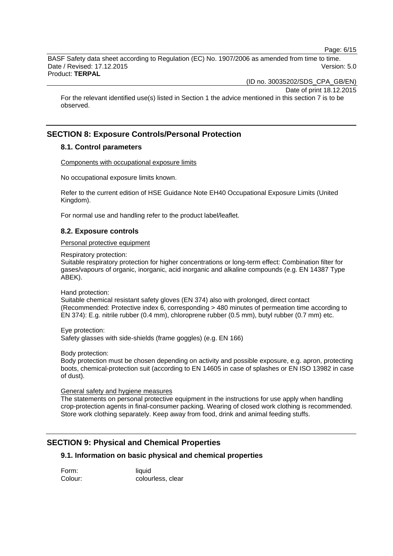Page: 6/15

BASF Safety data sheet according to Regulation (EC) No. 1907/2006 as amended from time to time. Date / Revised: 17.12.2015 Version: 5.0 Product: **TERPAL**

(ID no. 30035202/SDS\_CPA\_GB/EN)

Date of print 18.12.2015

For the relevant identified use(s) listed in Section 1 the advice mentioned in this section 7 is to be observed.

# **SECTION 8: Exposure Controls/Personal Protection**

## **8.1. Control parameters**

Components with occupational exposure limits

No occupational exposure limits known.

Refer to the current edition of HSE Guidance Note EH40 Occupational Exposure Limits (United Kingdom).

For normal use and handling refer to the product label/leaflet.

## **8.2. Exposure controls**

## Personal protective equipment

Respiratory protection:

Suitable respiratory protection for higher concentrations or long-term effect: Combination filter for gases/vapours of organic, inorganic, acid inorganic and alkaline compounds (e.g. EN 14387 Type ABEK).

Hand protection:

Suitable chemical resistant safety gloves (EN 374) also with prolonged, direct contact (Recommended: Protective index 6, corresponding > 480 minutes of permeation time according to EN 374): E.g. nitrile rubber (0.4 mm), chloroprene rubber (0.5 mm), butyl rubber (0.7 mm) etc.

Eye protection: Safety glasses with side-shields (frame goggles) (e.g. EN 166)

Body protection:

Body protection must be chosen depending on activity and possible exposure, e.g. apron, protecting boots, chemical-protection suit (according to EN 14605 in case of splashes or EN ISO 13982 in case of dust).

General safety and hygiene measures

The statements on personal protective equipment in the instructions for use apply when handling crop-protection agents in final-consumer packing. Wearing of closed work clothing is recommended. Store work clothing separately. Keep away from food, drink and animal feeding stuffs.

# **SECTION 9: Physical and Chemical Properties**

## **9.1. Information on basic physical and chemical properties**

Form: liquid Colour: colourless, clear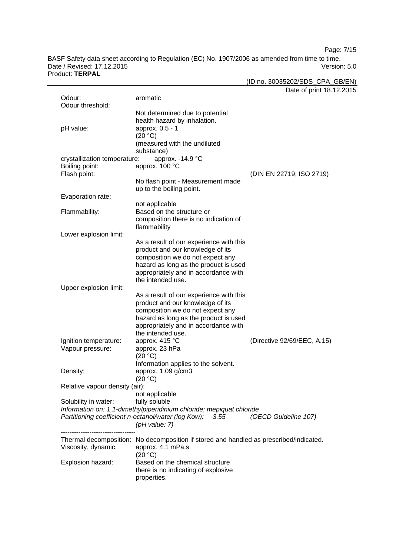Page: 7/15

BASF Safety data sheet according to Regulation (EC) No. 1907/2006 as amended from time to time. Date / Revised: 17.12.2015 Version: 5.0 Product: **TERPAL**

(ID no. 30035202/SDS\_CPA\_GB/EN)

|                                |                                                                                                             | Date of print 18.12.2015    |
|--------------------------------|-------------------------------------------------------------------------------------------------------------|-----------------------------|
| Odour:                         | aromatic                                                                                                    |                             |
| Odour threshold:               |                                                                                                             |                             |
|                                | Not determined due to potential                                                                             |                             |
| pH value:                      | health hazard by inhalation.<br>approx. 0.5 - 1                                                             |                             |
|                                | (20 °C)                                                                                                     |                             |
|                                | (measured with the undiluted                                                                                |                             |
|                                | substance)                                                                                                  |                             |
| crystallization temperature:   | approx. -14.9 °C                                                                                            |                             |
| Boiling point:                 | approx. 100 °C                                                                                              |                             |
| Flash point:                   |                                                                                                             | (DIN EN 22719; ISO 2719)    |
|                                | No flash point - Measurement made                                                                           |                             |
|                                | up to the boiling point.                                                                                    |                             |
| Evaporation rate:              |                                                                                                             |                             |
| Flammability:                  | not applicable<br>Based on the structure or                                                                 |                             |
|                                | composition there is no indication of                                                                       |                             |
|                                | flammability                                                                                                |                             |
| Lower explosion limit:         |                                                                                                             |                             |
|                                | As a result of our experience with this                                                                     |                             |
|                                | product and our knowledge of its                                                                            |                             |
|                                | composition we do not expect any                                                                            |                             |
|                                | hazard as long as the product is used                                                                       |                             |
|                                | appropriately and in accordance with                                                                        |                             |
| Upper explosion limit:         | the intended use.                                                                                           |                             |
|                                | As a result of our experience with this                                                                     |                             |
|                                | product and our knowledge of its                                                                            |                             |
|                                | composition we do not expect any                                                                            |                             |
|                                | hazard as long as the product is used                                                                       |                             |
|                                | appropriately and in accordance with                                                                        |                             |
|                                | the intended use.                                                                                           |                             |
| Ignition temperature:          | approx. 415 °C                                                                                              | (Directive 92/69/EEC, A.15) |
| Vapour pressure:               | approx. 23 hPa                                                                                              |                             |
|                                | (20 °C)                                                                                                     |                             |
| Density:                       | Information applies to the solvent.<br>approx. 1.09 g/cm3                                                   |                             |
|                                | (20 °C)                                                                                                     |                             |
| Relative vapour density (air): |                                                                                                             |                             |
|                                | not applicable                                                                                              |                             |
| Solubility in water:           | fully soluble                                                                                               |                             |
|                                | Information on: 1,1-dimethylpiperidinium chloride; mepiquat chloride                                        |                             |
|                                | Partitioning coefficient n-octanol/water (log Kow): -3.55                                                   | (OECD Guideline 107)        |
|                                | $($ pH value: 7 $)$                                                                                         |                             |
|                                |                                                                                                             |                             |
| Viscosity, dynamic:            | Thermal decomposition: No decomposition if stored and handled as prescribed/indicated.<br>approx. 4.1 mPa.s |                             |
|                                | (20 °C)                                                                                                     |                             |
| Explosion hazard:              | Based on the chemical structure                                                                             |                             |
|                                | there is no indicating of explosive                                                                         |                             |
|                                | properties.                                                                                                 |                             |
|                                |                                                                                                             |                             |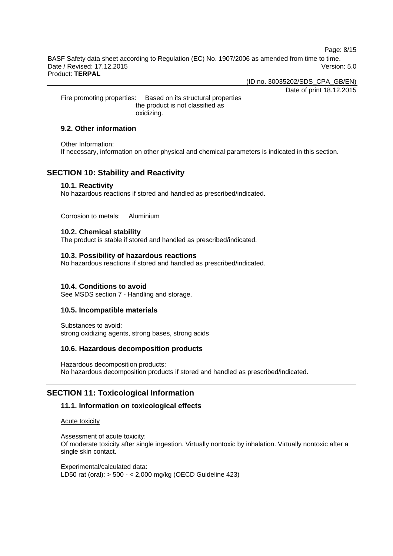Page: 8/15

BASF Safety data sheet according to Regulation (EC) No. 1907/2006 as amended from time to time. Date / Revised: 17.12.2015 Version: 5.0 Product: **TERPAL**

(ID no. 30035202/SDS\_CPA\_GB/EN)

Date of print 18.12.2015

Fire promoting properties: Based on its structural properties the product is not classified as oxidizing.

## **9.2. Other information**

Other Information: If necessary, information on other physical and chemical parameters is indicated in this section.

## **SECTION 10: Stability and Reactivity**

## **10.1. Reactivity**

No hazardous reactions if stored and handled as prescribed/indicated.

Corrosion to metals: Aluminium

## **10.2. Chemical stability**

The product is stable if stored and handled as prescribed/indicated.

#### **10.3. Possibility of hazardous reactions**

No hazardous reactions if stored and handled as prescribed/indicated.

## **10.4. Conditions to avoid**

See MSDS section 7 - Handling and storage.

## **10.5. Incompatible materials**

Substances to avoid: strong oxidizing agents, strong bases, strong acids

## **10.6. Hazardous decomposition products**

Hazardous decomposition products: No hazardous decomposition products if stored and handled as prescribed/indicated.

## **SECTION 11: Toxicological Information**

## **11.1. Information on toxicological effects**

Acute toxicity

Assessment of acute toxicity: Of moderate toxicity after single ingestion. Virtually nontoxic by inhalation. Virtually nontoxic after a single skin contact.

Experimental/calculated data: LD50 rat (oral): > 500 - < 2,000 mg/kg (OECD Guideline 423)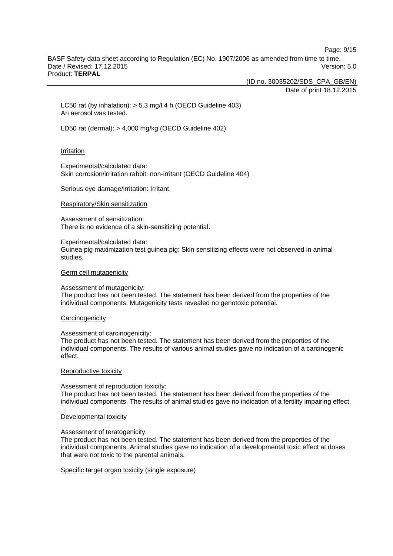Page: 9/15

BASF Safety data sheet according to Regulation (EC) No. 1907/2006 as amended from time to time. Date / Revised: 17.12.2015 Version: 5.0 Product: **TERPAL**

(ID no. 30035202/SDS\_CPA\_GB/EN)

Date of print 18.12.2015

LC50 rat (by inhalation): > 5.3 mg/l 4 h (OECD Guideline 403) An aerosol was tested.

LD50 rat (dermal): > 4,000 mg/kg (OECD Guideline 402)

#### Irritation

Experimental/calculated data: Skin corrosion/irritation rabbit: non-irritant (OECD Guideline 404)

Serious eye damage/irritation: Irritant.

#### Respiratory/Skin sensitization

Assessment of sensitization: There is no evidence of a skin-sensitizing potential.

Experimental/calculated data:

Guinea pig maximization test guinea pig: Skin sensitizing effects were not observed in animal studies.

#### Germ cell mutagenicity

Assessment of mutagenicity:

The product has not been tested. The statement has been derived from the properties of the individual components. Mutagenicity tests revealed no genotoxic potential.

#### **Carcinogenicity**

Assessment of carcinogenicity:

The product has not been tested. The statement has been derived from the properties of the individual components. The results of various animal studies gave no indication of a carcinogenic effect.

#### Reproductive toxicity

Assessment of reproduction toxicity: The product has not been tested. The statement has been derived from the properties of the individual components. The results of animal studies gave no indication of a fertility impairing effect.

#### Developmental toxicity

Assessment of teratogenicity:

The product has not been tested. The statement has been derived from the properties of the individual components. Animal studies gave no indication of a developmental toxic effect at doses that were not toxic to the parental animals.

Specific target organ toxicity (single exposure)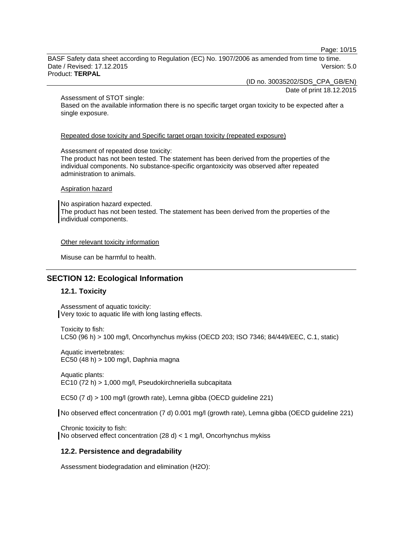Page: 10/15

BASF Safety data sheet according to Regulation (EC) No. 1907/2006 as amended from time to time. Date / Revised: 17.12.2015 Version: 5.0 Product: **TERPAL**

(ID no. 30035202/SDS\_CPA\_GB/EN)

Date of print 18.12.2015

#### Assessment of STOT single:

Based on the available information there is no specific target organ toxicity to be expected after a single exposure.

Repeated dose toxicity and Specific target organ toxicity (repeated exposure)

#### Assessment of repeated dose toxicity:

The product has not been tested. The statement has been derived from the properties of the individual components. No substance-specific organtoxicity was observed after repeated administration to animals.

#### Aspiration hazard

No aspiration hazard expected. The product has not been tested. The statement has been derived from the properties of the individual components.

#### Other relevant toxicity information

Misuse can be harmful to health.

# **SECTION 12: Ecological Information**

## **12.1. Toxicity**

Assessment of aquatic toxicity: Very toxic to aquatic life with long lasting effects.

Toxicity to fish: LC50 (96 h) > 100 mg/l, Oncorhynchus mykiss (OECD 203; ISO 7346; 84/449/EEC, C.1, static)

Aquatic invertebrates: EC50 (48 h) > 100 mg/l, Daphnia magna

Aquatic plants: EC10 (72 h) > 1,000 mg/l, Pseudokirchneriella subcapitata

EC50 (7 d) > 100 mg/l (growth rate), Lemna gibba (OECD guideline 221)

No observed effect concentration (7 d) 0.001 mg/l (growth rate), Lemna gibba (OECD guideline 221)

Chronic toxicity to fish: No observed effect concentration (28 d) < 1 mg/l, Oncorhynchus mykiss

## **12.2. Persistence and degradability**

Assessment biodegradation and elimination (H2O):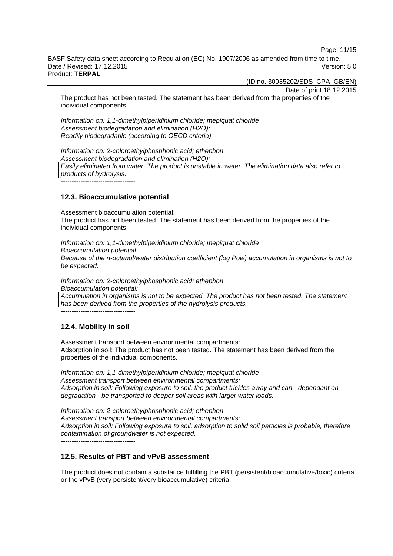Page: 11/15

BASF Safety data sheet according to Regulation (EC) No. 1907/2006 as amended from time to time. Date / Revised: 17.12.2015 Version: 5.0 Product: **TERPAL**

(ID no. 30035202/SDS\_CPA\_GB/EN)

Date of print 18.12.2015

The product has not been tested. The statement has been derived from the properties of the individual components.

*Information on: 1,1-dimethylpiperidinium chloride; mepiquat chloride Assessment biodegradation and elimination (H2O): Readily biodegradable (according to OECD criteria).*

*Information on: 2-chloroethylphosphonic acid; ethephon Assessment biodegradation and elimination (H2O): Easily eliminated from water. The product is unstable in water. The elimination data also refer to products of hydrolysis.*

**12.3. Bioaccumulative potential**

Assessment bioaccumulation potential: The product has not been tested. The statement has been derived from the properties of the individual components.

*Information on: 1,1-dimethylpiperidinium chloride; mepiquat chloride Bioaccumulation potential: Because of the n-octanol/water distribution coefficient (log Pow) accumulation in organisms is not to be expected.*

*Information on: 2-chloroethylphosphonic acid; ethephon Bioaccumulation potential: Accumulation in organisms is not to be expected. The product has not been tested. The statement has been derived from the properties of the hydrolysis products.*

 $-$ 

## **12.4. Mobility in soil**

Assessment transport between environmental compartments: Adsorption in soil: The product has not been tested. The statement has been derived from the properties of the individual components.

*Information on: 1,1-dimethylpiperidinium chloride; mepiquat chloride Assessment transport between environmental compartments: Adsorption in soil: Following exposure to soil, the product trickles away and can - dependant on degradation - be transported to deeper soil areas with larger water loads.*

*Information on: 2-chloroethylphosphonic acid; ethephon Assessment transport between environmental compartments: Adsorption in soil: Following exposure to soil, adsorption to solid soil particles is probable, therefore contamination of groundwater is not expected.*

----------------------------------

## **12.5. Results of PBT and vPvB assessment**

The product does not contain a substance fulfilling the PBT (persistent/bioaccumulative/toxic) criteria or the vPvB (very persistent/very bioaccumulative) criteria.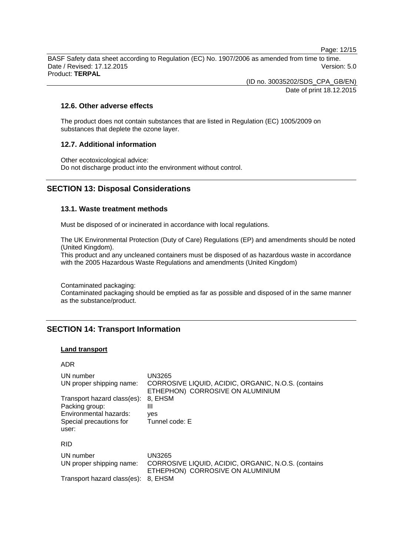Page: 12/15

BASF Safety data sheet according to Regulation (EC) No. 1907/2006 as amended from time to time. Date / Revised: 17.12.2015 Version: 5.0 Product: **TERPAL**

> (ID no. 30035202/SDS\_CPA\_GB/EN) Date of print 18.12.2015

## **12.6. Other adverse effects**

The product does not contain substances that are listed in Regulation (EC) 1005/2009 on substances that deplete the ozone layer.

## **12.7. Additional information**

Other ecotoxicological advice: Do not discharge product into the environment without control.

## **SECTION 13: Disposal Considerations**

## **13.1. Waste treatment methods**

Must be disposed of or incinerated in accordance with local regulations.

The UK Environmental Protection (Duty of Care) Regulations (EP) and amendments should be noted (United Kingdom).

This product and any uncleaned containers must be disposed of as hazardous waste in accordance with the 2005 Hazardous Waste Regulations and amendments (United Kingdom)

Contaminated packaging:

Contaminated packaging should be emptied as far as possible and disposed of in the same manner as the substance/product.

# **SECTION 14: Transport Information**

#### **Land transport**

| ADR                                                                                                         |                                                                                                   |
|-------------------------------------------------------------------------------------------------------------|---------------------------------------------------------------------------------------------------|
| UN number<br>UN proper shipping name:                                                                       | UN3265<br>CORROSIVE LIQUID, ACIDIC, ORGANIC, N.O.S. (contains<br>ETHEPHON) CORROSIVE ON ALUMINIUM |
| Transport hazard class(es):<br>Packing group:<br>Environmental hazards:<br>Special precautions for<br>user: | 8, EHSM<br>Ш<br>ves<br>Tunnel code: E                                                             |
| <b>RID</b>                                                                                                  |                                                                                                   |
| UN number<br>UN proper shipping name:                                                                       | UN3265<br>CORROSIVE LIQUID, ACIDIC, ORGANIC, N.O.S. (contains<br>ETHEPHON) CORROSIVE ON ALUMINIUM |
| Transport hazard class(es):                                                                                 | 8. EHSM                                                                                           |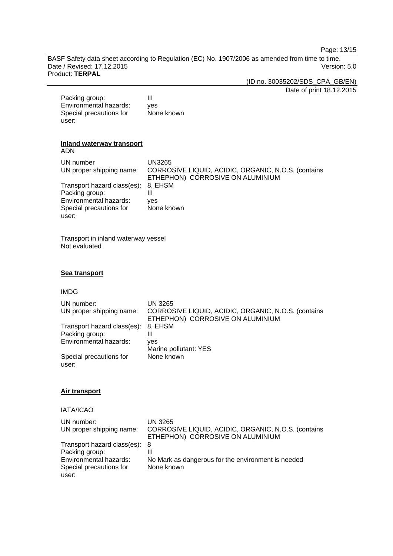Page: 13/15

BASF Safety data sheet according to Regulation (EC) No. 1907/2006 as amended from time to time. Date / Revised: 17.12.2015 Product: **TERPAL**

(ID no. 30035202/SDS\_CPA\_GB/EN)

Date of print 18.12.2015

Packing group: III Environmental hazards: yes Special precautions for user: None known

## **Inland waterway transport**

ADN

| UN number<br>UN proper shipping name: | UN3265<br>CORROSIVE LIQUID, ACIDIC, ORGANIC, N.O.S. (contains<br>ETHEPHON) CORROSIVE ON ALUMINIUM |
|---------------------------------------|---------------------------------------------------------------------------------------------------|
| Transport hazard class(es): 8, EHSM   |                                                                                                   |
| Packing group:                        | Ш                                                                                                 |
| Environmental hazards:                | ves                                                                                               |
| Special precautions for               | None known                                                                                        |
| user:                                 |                                                                                                   |

Transport in inland waterway vessel Not evaluated

## **Sea transport**

#### IMDG

| UN number:                       | UN 3265                                                                                 |
|----------------------------------|-----------------------------------------------------------------------------------------|
| UN proper shipping name:         | CORROSIVE LIQUID, ACIDIC, ORGANIC, N.O.S. (contains<br>ETHEPHON) CORROSIVE ON ALUMINIUM |
| Transport hazard class(es):      | 8. EHSM                                                                                 |
| Packing group:                   | Ш                                                                                       |
| Environmental hazards:           | ves                                                                                     |
|                                  | Marine pollutant: YES                                                                   |
| Special precautions for<br>user: | None known                                                                              |

#### **Air transport**

## IATA/ICAO

| UN number:<br>UN proper shipping name: | UN 3265<br>CORROSIVE LIQUID, ACIDIC, ORGANIC, N.O.S. (contains<br>ETHEPHON) CORROSIVE ON ALUMINIUM |
|----------------------------------------|----------------------------------------------------------------------------------------------------|
| Transport hazard class(es): 8          |                                                                                                    |
| Packing group:                         | Ш                                                                                                  |
| Environmental hazards:                 | No Mark as dangerous for the environment is needed                                                 |
| Special precautions for                | None known                                                                                         |
| user:                                  |                                                                                                    |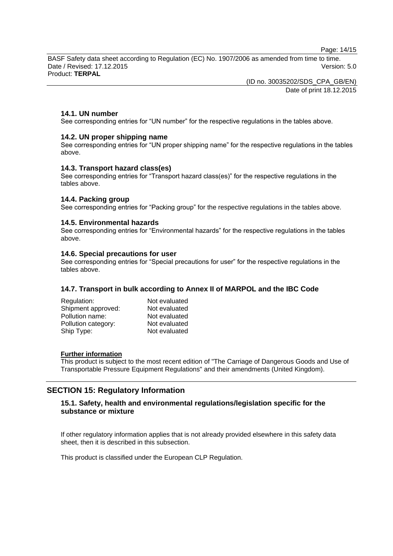Page: 14/15

BASF Safety data sheet according to Regulation (EC) No. 1907/2006 as amended from time to time. Date / Revised: 17.12.2015 Version: 5.0 Product: **TERPAL**

> (ID no. 30035202/SDS\_CPA\_GB/EN) Date of print 18.12.2015

## **14.1. UN number**

See corresponding entries for "UN number" for the respective regulations in the tables above.

## **14.2. UN proper shipping name**

See corresponding entries for "UN proper shipping name" for the respective regulations in the tables above.

## **14.3. Transport hazard class(es)**

See corresponding entries for "Transport hazard class(es)" for the respective regulations in the tables above.

## **14.4. Packing group**

See corresponding entries for "Packing group" for the respective regulations in the tables above.

## **14.5. Environmental hazards**

See corresponding entries for "Environmental hazards" for the respective regulations in the tables above.

## **14.6. Special precautions for user**

See corresponding entries for "Special precautions for user" for the respective regulations in the tables above.

## **14.7. Transport in bulk according to Annex II of MARPOL and the IBC Code**

| Regulation:         | Not evaluated |
|---------------------|---------------|
| Shipment approved:  | Not evaluated |
| Pollution name:     | Not evaluated |
| Pollution category: | Not evaluated |
| Ship Type:          | Not evaluated |

#### **Further information**

This product is subject to the most recent edition of "The Carriage of Dangerous Goods and Use of Transportable Pressure Equipment Regulations" and their amendments (United Kingdom).

## **SECTION 15: Regulatory Information**

## **15.1. Safety, health and environmental regulations/legislation specific for the substance or mixture**

If other regulatory information applies that is not already provided elsewhere in this safety data sheet, then it is described in this subsection.

This product is classified under the European CLP Regulation.